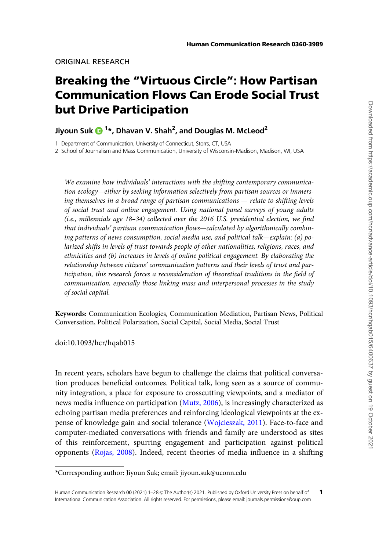# Breaking the "Virtuous Circle": How Partisan Communication Flows Can Erode Social Trust but Drive Participation

## Jiyoun Suk ���� <sup>1</sup>\*, Dhavan V. Shah<sup>2</sup>, and Douglas M. McLeod<sup>2</sup>

1 Department of Communication, University of Connecticut, Storrs, CT, USA

2 School of Journalism and Mass Communication, University of Wisconsin-Madison, Madison, WI, USA

We examine how individuals' interactions with the shifting contemporary communication ecology—either by seeking information selectively from partisan sources or immersing themselves in a broad range of partisan communications — relate to shifting levels of social trust and online engagement. Using national panel surveys of young adults (i.e., millennials age 18–34) collected over the 2016 U.S. presidential election, we find that individuals' partisan communication flows—calculated by algorithmically combining patterns of news consumption, social media use, and political talk—explain: (a) polarized shifts in levels of trust towards people of other nationalities, religions, races, and ethnicities and (b) increases in levels of online political engagement. By elaborating the relationship between citizens' communication patterns and their levels of trust and participation, this research forces a reconsideration of theoretical traditions in the field of communication, especially those linking mass and interpersonal processes in the study of social capital.

Keywords: Communication Ecologies, Communication Mediation, Partisan News, Political Conversation, Political Polarization, Social Capital, Social Media, Social Trust

doi:10.1093/hcr/hqab015

In recent years, scholars have begun to challenge the claims that political conversation produces beneficial outcomes. Political talk, long seen as a source of community integration, a place for exposure to crosscutting viewpoints, and a mediator of news media influence on participation [\(Mutz, 2006\)](#page-25-0), is increasingly characterized as echoing partisan media preferences and reinforcing ideological viewpoints at the expense of knowledge gain and social tolerance [\(Wojcieszak, 2011](#page-27-0)). Face-to-face and computer-mediated conversations with friends and family are understood as sites of this reinforcement, spurring engagement and participation against political opponents ([Rojas, 2008\)](#page-26-0). Indeed, recent theories of media influence in a shifting

<sup>\*</sup>Corresponding author: Jiyoun Suk; email: jiyoun.suk@uconn.edu

Human Communication Research 00 (2021) 1-28 © The Author(s) 2021. Published by Oxford University Press on behalf of International Communication Association. All rights reserved. For permissions, please email: journals.permissions@oup.com 1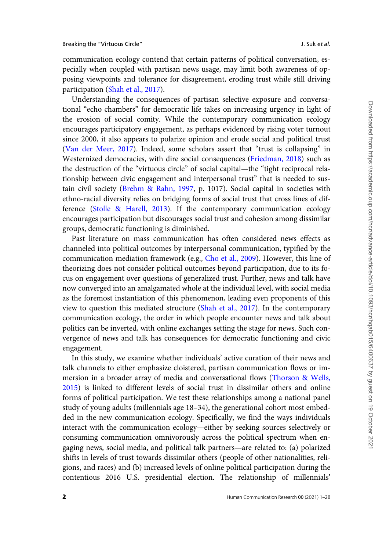communication ecology contend that certain patterns of political conversation, especially when coupled with partisan news usage, may limit both awareness of opposing viewpoints and tolerance for disagreement, eroding trust while still driving participation ([Shah et al., 2017\)](#page-26-0).

Understanding the consequences of partisan selective exposure and conversational "echo chambers" for democratic life takes on increasing urgency in light of the erosion of social comity. While the contemporary communication ecology encourages participatory engagement, as perhaps evidenced by rising voter turnout since 2000, it also appears to polarize opinion and erode social and political trust [\(Van der Meer, 2017](#page-27-0)). Indeed, some scholars assert that "trust is collapsing" in Westernized democracies, with dire social consequences ([Friedman, 2018](#page-24-0)) such as the destruction of the "virtuous circle" of social capital—the "tight reciprocal relationship between civic engagement and interpersonal trust" that is needed to sustain civil society ([Brehm & Rahn, 1997](#page-22-0), p. 1017). Social capital in societies with ethno-racial diversity relies on bridging forms of social trust that cross lines of difference ([Stolle & Harell, 2013\)](#page-26-0). If the contemporary communication ecology encourages participation but discourages social trust and cohesion among dissimilar groups, democratic functioning is diminished.

Past literature on mass communication has often considered news effects as channeled into political outcomes by interpersonal communication, typified by the communication mediation framework (e.g., [Cho et al., 2009\)](#page-23-0). However, this line of theorizing does not consider political outcomes beyond participation, due to its focus on engagement over questions of generalized trust. Further, news and talk have now converged into an amalgamated whole at the individual level, with social media as the foremost instantiation of this phenomenon, leading even proponents of this view to question this mediated structure [\(Shah et al., 2017\)](#page-26-0). In the contemporary communication ecology, the order in which people encounter news and talk about politics can be inverted, with online exchanges setting the stage for news. Such convergence of news and talk has consequences for democratic functioning and civic engagement.

In this study, we examine whether individuals' active curation of their news and talk channels to either emphasize cloistered, partisan communication flows or immersion in a broader array of media and conversational flows ([Thorson](#page-26-0) & [Wells,](#page-26-0) [2015\)](#page-26-0) is linked to different levels of social trust in dissimilar others and online forms of political participation. We test these relationships among a national panel study of young adults (millennials age 18–34), the generational cohort most embedded in the new communication ecology. Specifically, we find the ways individuals interact with the communication ecology—either by seeking sources selectively or consuming communication omnivorously across the political spectrum when engaging news, social media, and political talk partners—are related to: (a) polarized shifts in levels of trust towards dissimilar others (people of other nationalities, religions, and races) and (b) increased levels of online political participation during the contentious 2016 U.S. presidential election. The relationship of millennials'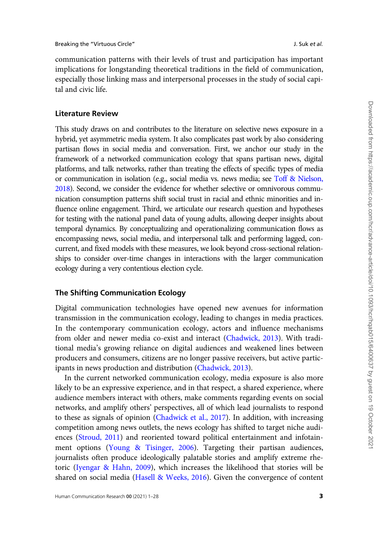communication patterns with their levels of trust and participation has important implications for longstanding theoretical traditions in the field of communication, especially those linking mass and interpersonal processes in the study of social capital and civic life.

#### Literature Review

This study draws on and contributes to the literature on selective news exposure in a hybrid, yet asymmetric media system. It also complicates past work by also considering partisan flows in social media and conversation. First, we anchor our study in the framework of a networked communication ecology that spans partisan news, digital platforms, and talk networks, rather than treating the effects of specific types of media or communication in isolation (e.g., social media vs. news media; see [Toff & Nielson,](#page-26-0) [2018\)](#page-26-0). Second, we consider the evidence for whether selective or omnivorous communication consumption patterns shift social trust in racial and ethnic minorities and influence online engagement. Third, we articulate our research question and hypotheses for testing with the national panel data of young adults, allowing deeper insights about temporal dynamics. By conceptualizing and operationalizing communication flows as encompassing news, social media, and interpersonal talk and performing lagged, concurrent, and fixed models with these measures, we look beyond cross-sectional relationships to consider over-time changes in interactions with the larger communication ecology during a very contentious election cycle.

## The Shifting Communication Ecology

Digital communication technologies have opened new avenues for information transmission in the communication ecology, leading to changes in media practices. In the contemporary communication ecology, actors and influence mechanisms from older and newer media co-exist and interact ([Chadwick, 2013\)](#page-23-0). With traditional media's growing reliance on digital audiences and weakened lines between producers and consumers, citizens are no longer passive receivers, but active participants in news production and distribution ([Chadwick, 2013\)](#page-23-0).

In the current networked communication ecology, media exposure is also more likely to be an expressive experience, and in that respect, a shared experience, where audience members interact with others, make comments regarding events on social networks, and amplify others' perspectives, all of which lead journalists to respond to these as signals of opinion ([Chadwick et al., 2017](#page-23-0)). In addition, with increasing competition among news outlets, the news ecology has shifted to target niche audiences ([Stroud, 2011](#page-26-0)) and reoriented toward political entertainment and infotainment options ([Young](#page-27-0) & [Tisinger, 2006\)](#page-27-0). Targeting their partisan audiences, journalists often produce ideologically palatable stories and amplify extreme rhetoric [\(Iyengar](#page-24-0) & [Hahn, 2009](#page-24-0)), which increases the likelihood that stories will be shared on social media ([Hasell](#page-24-0) [& Weeks, 2016](#page-24-0)). Given the convergence of content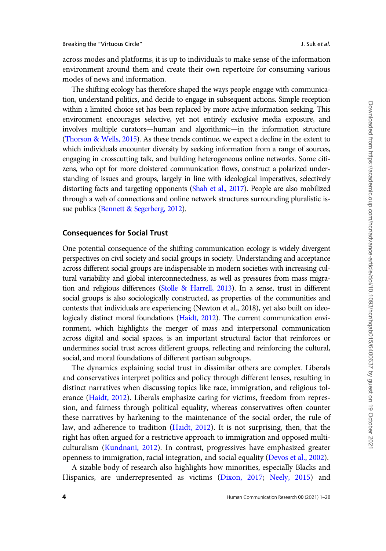across modes and platforms, it is up to individuals to make sense of the information environment around them and create their own repertoire for consuming various modes of news and information.

The shifting ecology has therefore shaped the ways people engage with communication, understand politics, and decide to engage in subsequent actions. Simple reception within a limited choice set has been replaced by more active information seeking. This environment encourages selective, yet not entirely exclusive media exposure, and involves multiple curators—human and algorithmic—in the information structure [\(Thorson](#page-26-0) & [Wells, 2015\)](#page-26-0). As these trends continue, we expect a decline in the extent to which individuals encounter diversity by seeking information from a range of sources, engaging in crosscutting talk, and building heterogeneous online networks. Some citizens, who opt for more cloistered communication flows, construct a polarized understanding of issues and groups, largely in line with ideological imperatives, selectively distorting facts and targeting opponents ([Shah et al., 2017](#page-26-0)). People are also mobilized through a web of connections and online network structures surrounding pluralistic issue publics ([Bennett](#page-22-0) & [Segerberg, 2012](#page-22-0)).

## Consequences for Social Trust

One potential consequence of the shifting communication ecology is widely divergent perspectives on civil society and social groups in society. Understanding and acceptance across different social groups are indispensable in modern societies with increasing cultural variability and global interconnectedness, as well as pressures from mass migration and religious differences ([Stolle & Harrell, 2013](#page-26-0)). In a sense, trust in different social groups is also sociologically constructed, as properties of the communities and contexts that individuals are experiencing (Newton et al., 2018), yet also built on ideologically distinct moral foundations [\(Haidt, 2012](#page-24-0)). The current communication environment, which highlights the merger of mass and interpersonal communication across digital and social spaces, is an important structural factor that reinforces or undermines social trust across different groups, reflecting and reinforcing the cultural, social, and moral foundations of different partisan subgroups.

The dynamics explaining social trust in dissimilar others are complex. Liberals and conservatives interpret politics and policy through different lenses, resulting in distinct narratives when discussing topics like race, immigration, and religious tolerance [\(Haidt, 2012\)](#page-24-0). Liberals emphasize caring for victims, freedom from repression, and fairness through political equality, whereas conservatives often counter these narratives by harkening to the maintenance of the social order, the rule of law, and adherence to tradition [\(Haidt, 2012\)](#page-24-0). It is not surprising, then, that the right has often argued for a restrictive approach to immigration and opposed multiculturalism ([Kundnani, 2012\)](#page-24-0). In contrast, progressives have emphasized greater openness to immigration, racial integration, and social equality ([Devos et al., 2002](#page-23-0)).

A sizable body of research also highlights how minorities, especially Blacks and Hispanics, are underrepresented as victims [\(Dixon, 2017;](#page-23-0) [Neely, 2015\)](#page-25-0) and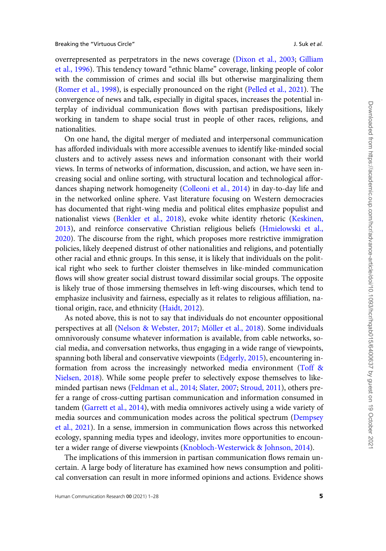overrepresented as perpetrators in the news coverage [\(Dixon et al., 2003](#page-23-0); [Gilliam](#page-24-0) [et al., 1996](#page-24-0)). This tendency toward "ethnic blame" coverage, linking people of color with the commission of crimes and social ills but otherwise marginalizing them ([Romer et al., 1998\)](#page-26-0), is especially pronounced on the right ([Pelled et al., 2021\)](#page-25-0). The convergence of news and talk, especially in digital spaces, increases the potential interplay of individual communication flows with partisan predispositions, likely working in tandem to shape social trust in people of other races, religions, and nationalities.

On one hand, the digital merger of mediated and interpersonal communication has afforded individuals with more accessible avenues to identify like-minded social clusters and to actively assess news and information consonant with their world views. In terms of networks of information, discussion, and action, we have seen increasing social and online sorting, with structural location and technological affordances shaping network homogeneity ([Colleoni et al., 2014\)](#page-23-0) in day-to-day life and in the networked online sphere. Vast literature focusing on Western democracies has documented that right-wing media and political elites emphasize populist and nationalist views ([Benkler et al., 2018](#page-22-0)), evoke white identity rhetoric ([Keskinen,](#page-24-0) [2013](#page-24-0)), and reinforce conservative Christian religious beliefs [\(Hmielowski et al.,](#page-24-0) [2020](#page-24-0)). The discourse from the right, which proposes more restrictive immigration policies, likely deepened distrust of other nationalities and religions, and potentially other racial and ethnic groups. In this sense, it is likely that individuals on the political right who seek to further cloister themselves in like-minded communication flows will show greater social distrust toward dissimilar social groups. The opposite is likely true of those immersing themselves in left-wing discourses, which tend to emphasize inclusivity and fairness, especially as it relates to religious affiliation, national origin, race, and ethnicity ([Haidt, 2012\)](#page-24-0).

As noted above, this is not to say that individuals do not encounter oppositional perspectives at all ([Nelson & Webster, 2017](#page-25-0); Möller et al., 2018). Some individuals omnivorously consume whatever information is available, from cable networks, social media, and conversation networks, thus engaging in a wide range of viewpoints, spanning both liberal and conservative viewpoints ([Edgerly, 2015](#page-23-0)), encountering information from across the increasingly networked media environment [\(Toff](#page-26-0) & [Nielsen, 2018\)](#page-26-0). While some people prefer to selectively expose themselves to likeminded partisan news [\(Feldman et al., 2014;](#page-23-0) [Slater, 2007;](#page-26-0) [Stroud, 2011\)](#page-26-0), others prefer a range of cross-cutting partisan communication and information consumed in tandem [\(Garrett et al., 2014\)](#page-24-0), with media omnivores actively using a wide variety of media sources and communication modes across the political spectrum ([Dempsey](#page-23-0) [et al., 2021](#page-23-0)). In a sense, immersion in communication flows across this networked ecology, spanning media types and ideology, invites more opportunities to encounter a wider range of diverse viewpoints ([Knobloch-Westerwick & Johnson, 2014](#page-24-0)).

The implications of this immersion in partisan communication flows remain uncertain. A large body of literature has examined how news consumption and political conversation can result in more informed opinions and actions. Evidence shows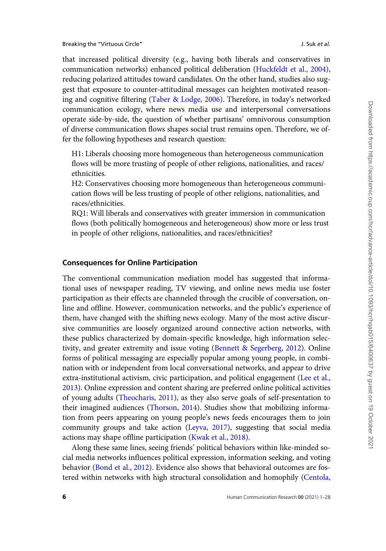that increased political diversity (e.g., having both liberals and conservatives in communication networks) enhanced political deliberation ([Huckfeldt et al., 2004](#page-24-0)), reducing polarized attitudes toward candidates. On the other hand, studies also suggest that exposure to counter-attitudinal messages can heighten motivated reasoning and cognitive filtering [\(Taber & Lodge, 2006\)](#page-26-0). Therefore, in today's networked communication ecology, where news media use and interpersonal conversations operate side-by-side, the question of whether partisans' omnivorous consumption of diverse communication flows shapes social trust remains open. Therefore, we offer the following hypotheses and research question:

H1: Liberals choosing more homogeneous than heterogeneous communication flows will be more trusting of people of other religions, nationalities, and races/ ethnicities.

H2: Conservatives choosing more homogeneous than heterogeneous communication flows will be less trusting of people of other religions, nationalities, and races/ethnicities.

RQ1: Will liberals and conservatives with greater immersion in communication flows (both politically homogeneous and heterogeneous) show more or less trust in people of other religions, nationalities, and races/ethnicities?

## Consequences for Online Participation

The conventional communication mediation model has suggested that informational uses of newspaper reading, TV viewing, and online news media use foster participation as their effects are channeled through the crucible of conversation, online and offline. However, communication networks, and the public's experience of them, have changed with the shifting news ecology. Many of the most active discursive communities are loosely organized around connective action networks, with these publics characterized by domain-specific knowledge, high information selectivity, and greater extremity and issue voting ([Bennett & Segerberg, 2012](#page-22-0)). Online forms of political messaging are especially popular among young people, in combination with or independent from local conversational networks, and appear to drive extra-institutional activism, civic participation, and political engagement ([Lee et al.,](#page-25-0) [2013\)](#page-25-0). Online expression and content sharing are preferred online political activities of young adults [\(Theocharis, 2011](#page-26-0)), as they also serve goals of self-presentation to their imagined audiences ([Thorson, 2014\)](#page-26-0). Studies show that mobilizing information from peers appearing on young people's news feeds encourages them to join community groups and take action [\(Leyva, 2017](#page-25-0)), suggesting that social media actions may shape offline participation [\(Kwak et al., 2018](#page-25-0)).

Along these same lines, seeing friends' political behaviors within like-minded social media networks influences political expression, information seeking, and voting behavior [\(Bond et al., 2012](#page-22-0)). Evidence also shows that behavioral outcomes are fostered within networks with high structural consolidation and homophily [\(Centola,](#page-23-0)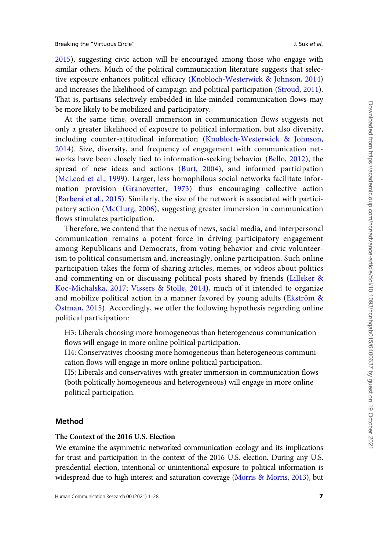[2015](#page-23-0)), suggesting civic action will be encouraged among those who engage with similar others. Much of the political communication literature suggests that selective exposure enhances political efficacy [\(Knobloch-Westerwick](#page-24-0) & [Johnson, 2014](#page-24-0)) and increases the likelihood of campaign and political participation [\(Stroud, 2011\)](#page-26-0). That is, partisans selectively embedded in like-minded communication flows may be more likely to be mobilized and participatory.

At the same time, overall immersion in communication flows suggests not only a greater likelihood of exposure to political information, but also diversity, including counter-attitudinal information ([Knobloch-Westerwick](#page-24-0) & [Johnson,](#page-24-0) [2014\)](#page-24-0). Size, diversity, and frequency of engagement with communication networks have been closely tied to information-seeking behavior ([Bello, 2012\)](#page-22-0), the spread of new ideas and actions ([Burt, 2004\)](#page-22-0), and informed participation ([McLeod et al., 1999\)](#page-25-0). Larger, less homophilous social networks facilitate information provision ([Granovetter, 1973\)](#page-24-0) thus encouraging collective action (Barberá et al., 2015). Similarly, the size of the network is associated with participatory action ([McClurg, 2006\)](#page-25-0), suggesting greater immersion in communication flows stimulates participation.

Therefore, we contend that the nexus of news, social media, and interpersonal communication remains a potent force in driving participatory engagement among Republicans and Democrats, from voting behavior and civic volunteerism to political consumerism and, increasingly, online participation. Such online participation takes the form of sharing articles, memes, or videos about politics and commenting on or discussing political posts shared by friends ([Lilleker](#page-25-0) & [Koc-Michalska, 2017](#page-25-0); [Vissers & Stolle, 2014](#page-27-0)), much of it intended to organize and mobilize political action in a manner favored by young adults (Ekström  $\&$  $Östman, 2015$ . Accordingly, we offer the following hypothesis regarding online political participation:

H3: Liberals choosing more homogeneous than heterogeneous communication flows will engage in more online political participation.

H4: Conservatives choosing more homogeneous than heterogeneous communication flows will engage in more online political participation.

H5: Liberals and conservatives with greater immersion in communication flows (both politically homogeneous and heterogeneous) will engage in more online political participation.

#### Method

#### The Context of the 2016 U.S. Election

We examine the asymmetric networked communication ecology and its implications for trust and participation in the context of the 2016 U.S. election. During any U.S. presidential election, intentional or unintentional exposure to political information is widespread due to high interest and saturation coverage [\(Morris & Morris, 2013\)](#page-25-0), but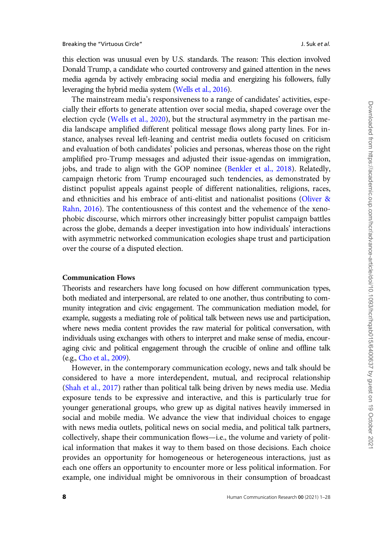this election was unusual even by U.S. standards. The reason: This election involved Donald Trump, a candidate who courted controversy and gained attention in the news media agenda by actively embracing social media and energizing his followers, fully leveraging the hybrid media system ([Wells et al., 2016](#page-27-0)).

The mainstream media's responsiveness to a range of candidates' activities, especially their efforts to generate attention over social media, shaped coverage over the election cycle [\(Wells et al., 2020\)](#page-27-0), but the structural asymmetry in the partisan media landscape amplified different political message flows along party lines. For instance, analyses reveal left-leaning and centrist media outlets focused on criticism and evaluation of both candidates' policies and personas, whereas those on the right amplified pro-Trump messages and adjusted their issue-agendas on immigration, jobs, and trade to align with the GOP nominee [\(Benkler et al., 2018](#page-22-0)). Relatedly, campaign rhetoric from Trump encouraged such tendencies, as demonstrated by distinct populist appeals against people of different nationalities, religions, races, and ethnicities and his embrace of anti-elitist and nationalist positions ([Oliver &](#page-25-0) [Rahn, 2016\)](#page-25-0). The contentiousness of this contest and the vehemence of the xenophobic discourse, which mirrors other increasingly bitter populist campaign battles across the globe, demands a deeper investigation into how individuals' interactions with asymmetric networked communication ecologies shape trust and participation over the course of a disputed election.

#### Communication Flows

Theorists and researchers have long focused on how different communication types, both mediated and interpersonal, are related to one another, thus contributing to community integration and civic engagement. The communication mediation model, for example, suggests a mediating role of political talk between news use and participation, where news media content provides the raw material for political conversation, with individuals using exchanges with others to interpret and make sense of media, encouraging civic and political engagement through the crucible of online and offline talk (e.g., [Cho et al., 2009\)](#page-23-0).

However, in the contemporary communication ecology, news and talk should be considered to have a more interdependent, mutual, and reciprocal relationship [\(Shah et al., 2017](#page-26-0)) rather than political talk being driven by news media use. Media exposure tends to be expressive and interactive, and this is particularly true for younger generational groups, who grew up as digital natives heavily immersed in social and mobile media. We advance the view that individual choices to engage with news media outlets, political news on social media, and political talk partners, collectively, shape their communication flows—i.e., the volume and variety of political information that makes it way to them based on those decisions. Each choice provides an opportunity for homogeneous or heterogeneous interactions, just as each one offers an opportunity to encounter more or less political information. For example, one individual might be omnivorous in their consumption of broadcast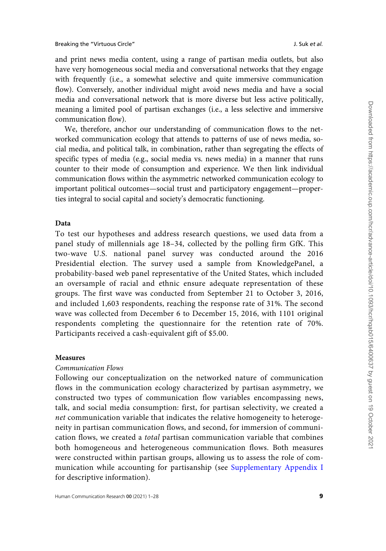and print news media content, using a range of partisan media outlets, but also have very homogeneous social media and conversational networks that they engage with frequently (i.e., a somewhat selective and quite immersive communication flow). Conversely, another individual might avoid news media and have a social media and conversational network that is more diverse but less active politically, meaning a limited pool of partisan exchanges (i.e., a less selective and immersive communication flow).

We, therefore, anchor our understanding of communication flows to the networked communication ecology that attends to patterns of use of news media, social media, and political talk, in combination, rather than segregating the effects of specific types of media (e.g., social media vs. news media) in a manner that runs counter to their mode of consumption and experience. We then link individual communication flows within the asymmetric networked communication ecology to important political outcomes—social trust and participatory engagement—properties integral to social capital and society's democratic functioning.

#### Data

To test our hypotheses and address research questions, we used data from a panel study of millennials age 18–34, collected by the polling firm GfK. This two-wave U.S. national panel survey was conducted around the 2016 Presidential election. The survey used a sample from KnowledgePanel, a probability-based web panel representative of the United States, which included an oversample of racial and ethnic ensure adequate representation of these groups. The first wave was conducted from September 21 to October 3, 2016, and included 1,603 respondents, reaching the response rate of 31%. The second wave was collected from December 6 to December 15, 2016, with 1101 original respondents completing the questionnaire for the retention rate of 70%. Participants received a cash-equivalent gift of \$5.00.

#### Measures

#### Communication Flows

Following our conceptualization on the networked nature of communication flows in the communication ecology characterized by partisan asymmetry, we constructed two types of communication flow variables encompassing news, talk, and social media consumption: first, for partisan selectivity, we created a net communication variable that indicates the relative homogeneity to heterogeneity in partisan communication flows, and second, for immersion of communication flows, we created a total partisan communication variable that combines both homogeneous and heterogeneous communication flows. Both measures were constructed within partisan groups, allowing us to assess the role of communication while accounting for partisanship (see [Supplementary Appendix I](https://academic.oup.com/hcr/article-lookup/doi/10.1093/hcr/hqab015#supplementary-data) for descriptive information).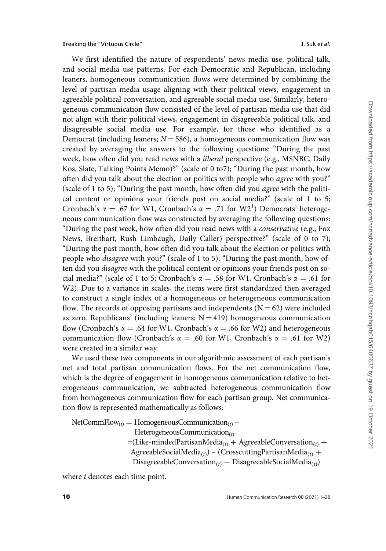Breaking the "Virtuous Circle" and the "Virtuous Circle" and the set al. Suk et al.

We first identified the nature of respondents' news media use, political talk, and social media use patterns. For each Democratic and Republican, including leaners, homogeneous communication flows were determined by combining the level of partisan media usage aligning with their political views, engagement in agreeable political conversation, and agreeable social media use. Similarly, heterogeneous communication flow consisted of the level of partisan media use that did not align with their political views, engagement in disagreeable political talk, and disagreeable social media use. For example, for those who identified as a Democrat (including leaners;  $N = 586$ ), a homogeneous communication flow was created by averaging the answers to the following questions: "During the past week, how often did you read news with a *liberal* perspective (e.g., MSNBC, Daily Kos, Slate, Talking Points Memo)?" (scale of 0 to7); "During the past month, how often did you talk about the election or politics with people who agree with you?" (scale of 1 to 5); "During the past month, how often did you agree with the political content or opinions your friends post on social media?" (scale of 1 to 5; Cronbach's  $\alpha = .67$  for W1, Cronbach's  $\alpha = .71$  for W2<sup>1</sup>) Democrats' heterogeneous communication flow was constructed by averaging the following questions: "During the past week, how often did you read news with a conservative (e.g., Fox News, Breitbart, Rush Limbaugh, Daily Caller) perspective?" (scale of 0 to 7); "During the past month, how often did you talk about the election or politics with people who disagree with you?" (scale of 1 to 5); "During the past month, how often did you disagree with the political content or opinions your friends post on social media?" (scale of 1 to 5; Cronbach's  $\alpha = .58$  for W1, Cronbach's  $\alpha = .61$  for W2). Due to a variance in scales, the items were first standardized then averaged to construct a single index of a homogeneous or heterogeneous communication flow. The records of opposing partisans and independents ( $N = 62$ ) were included as zero. Republicans' (including leaners;  $N = 419$ ) homogeneous communication flow (Cronbach's  $\alpha = .64$  for W1, Cronbach's  $\alpha = .66$  for W2) and heterogeneous communication flow (Cronbach's  $\alpha = .60$  for W1, Cronbach's  $\alpha = .61$  for W2) were created in a similar way.

We used these two components in our algorithmic assessment of each partisan's net and total partisan communication flows. For the net communication flow, which is the degree of engagement in homogeneous communication relative to heterogeneous communication, we subtracted heterogeneous communication flow from homogeneous communication flow for each partisan group. Net communication flow is represented mathematically as follows:

 $NetCommFlow_{(t)} = HomogeneousCommination_{(t)} -$ HeterogeneousCommunication $_{(t)}$  $=(\text{Like-mindedPartisanMedia}_{(t)} + \text{AgreeableConversion}_{(t)} +$ AgreeableSocialMedia<sub>(t)</sub>) – (CrosscuttingPartisanMedia<sub>(t)</sub> + DisagreeableConversation<sub>(t)</sub> + DisagreeableSocialMedia<sub>(t)</sub>)

where *t* denotes each time point.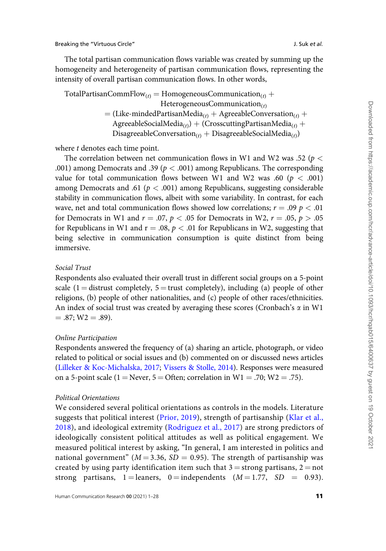The total partisan communication flows variable was created by summing up the homogeneity and heterogeneity of partisan communication flows, representing the intensity of overall partisan communication flows. In other words,

TotalPartisanCommFlow<sub>(t)</sub> = HomogeneousCommunication<sub>(t)</sub> + HeterogeneousCommunication $(t)$  $=$  (Like-mindedPartisanMedia<sub>(t)</sub> + AgreeableConversation<sub>(t)</sub> + AgreeableSocialMedia<sub>(t)</sub> + (CrosscuttingPartisanMedia<sub>(t)</sub> + DisagreeableConversation<sub>(t)</sub> + DisagreeableSocialMedia<sub>(t)</sub>)

where *t* denotes each time point.

The correlation between net communication flows in W1 and W2 was .52 ( $p <$ .001) among Democrats and .39 ( $p < .001$ ) among Republicans. The corresponding value for total communication flows between W1 and W2 was .60 ( $p < .001$ ) among Democrats and .61 ( $p < .001$ ) among Republicans, suggesting considerable stability in communication flows, albeit with some variability. In contrast, for each wave, net and total communication flows showed low correlations;  $r = .09 \, p < .01$ for Democrats in W1 and  $r = .07$ ,  $p < .05$  for Democrats in W2,  $r = .05$ ,  $p > .05$ for Republicans in W1 and  $r = .08$ ,  $p < .01$  for Republicans in W2, suggesting that being selective in communication consumption is quite distinct from being immersive.

### Social Trust

Respondents also evaluated their overall trust in different social groups on a 5-point scale (1 = distrust completely,  $5 =$  trust completely), including (a) people of other religions, (b) people of other nationalities, and (c) people of other races/ethnicities. An index of social trust was created by averaging these scores (Cronbach's  $\alpha$  in W1  $= .87$ ; W2  $= .89$ ).

#### Online Participation

Respondents answered the frequency of (a) sharing an article, photograph, or video related to political or social issues and (b) commented on or discussed news articles ([Lilleker & Koc-Michalska, 2017;](#page-25-0) [Vissers](#page-27-0) & [Stolle, 2014](#page-27-0)). Responses were measured on a 5-point scale (1 = Never, 5 = Often; correlation in  $W1 = .70$ ;  $W2 = .75$ ).

#### Political Orientations

We considered several political orientations as controls in the models. Literature suggests that political interest ([Prior, 2019](#page-26-0)), strength of partisanship ([Klar et al.,](#page-24-0) [2018](#page-24-0)), and ideological extremity [\(Rodriguez et al., 2017\)](#page-26-0) are strong predictors of ideologically consistent political attitudes as well as political engagement. We measured political interest by asking, "In general, I am interested in politics and national government" ( $M = 3.36$ ,  $SD = 0.95$ ). The strength of partisanship was created by using party identification item such that  $3 =$  strong partisans,  $2 =$  not strong partisans, 1 = leaners, 0 = independents  $(M = 1.77, SD = 0.93)$ .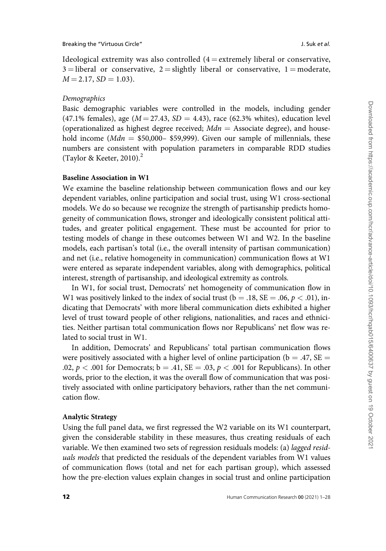Ideological extremity was also controlled  $(4 =$  extremely liberal or conservative,  $3 =$ liberal or conservative,  $2 =$ slightly liberal or conservative,  $1 =$ moderate,  $M = 2.17$ ,  $SD = 1.03$ ).

#### Demographics

Basic demographic variables were controlled in the models, including gender (47.1% females), age ( $M = 27.43$ ,  $SD = 4.43$ ), race (62.3% whites), education level (operationalized as highest degree received;  $Mdn =$  Associate degree), and household income ( $Mdn = $50,000- $59,999$ ). Given our sample of millennials, these numbers are consistent with population parameters in comparable RDD studies (Taylor & Keeter, 2010). $^{2}$ 

#### Baseline Association in W1

We examine the baseline relationship between communication flows and our key dependent variables, online participation and social trust, using W1 cross-sectional models. We do so because we recognize the strength of partisanship predicts homogeneity of communication flows, stronger and ideologically consistent political attitudes, and greater political engagement. These must be accounted for prior to testing models of change in these outcomes between W1 and W2. In the baseline models, each partisan's total (i.e., the overall intensity of partisan communication) and net (i.e., relative homogeneity in communication) communication flows at W1 were entered as separate independent variables, along with demographics, political interest, strength of partisanship, and ideological extremity as controls.

In W1, for social trust, Democrats' net homogeneity of communication flow in W1 was positively linked to the index of social trust ( $b = .18$ ,  $SE = .06$ ,  $p < .01$ ), indicating that Democrats' with more liberal communication diets exhibited a higher level of trust toward people of other religions, nationalities, and races and ethnicities. Neither partisan total communication flows nor Republicans' net flow was related to social trust in W1.

In addition, Democrats' and Republicans' total partisan communication flows were positively associated with a higher level of online participation ( $b = .47$ , SE = .02,  $p < .001$  for Democrats;  $b = .41$ ,  $SE = .03$ ,  $p < .001$  for Republicans). In other words, prior to the election, it was the overall flow of communication that was positively associated with online participatory behaviors, rather than the net communication flow.

#### Analytic Strategy

Using the full panel data, we first regressed the W2 variable on its W1 counterpart, given the considerable stability in these measures, thus creating residuals of each variable. We then examined two sets of regression residuals models: (a) lagged residuals models that predicted the residuals of the dependent variables from W1 values of communication flows (total and net for each partisan group), which assessed how the pre-election values explain changes in social trust and online participation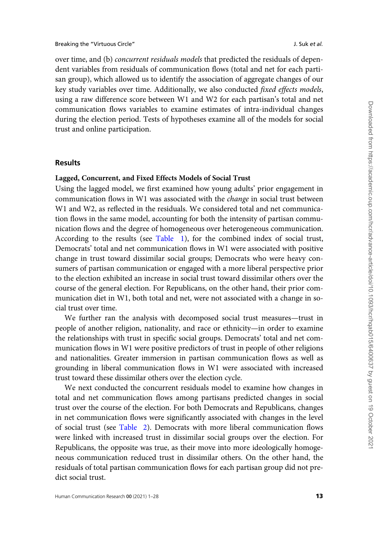over time, and (b) concurrent residuals models that predicted the residuals of dependent variables from residuals of communication flows (total and net for each partisan group), which allowed us to identify the association of aggregate changes of our key study variables over time. Additionally, we also conducted fixed effects models, using a raw difference score between W1 and W2 for each partisan's total and net communication flows variables to examine estimates of intra-individual changes during the election period. Tests of hypotheses examine all of the models for social trust and online participation.

#### Results

#### Lagged, Concurrent, and Fixed Effects Models of Social Trust

Using the lagged model, we first examined how young adults' prior engagement in communication flows in W1 was associated with the *change* in social trust between W1 and W2, as reflected in the residuals. We considered total and net communication flows in the same model, accounting for both the intensity of partisan communication flows and the degree of homogeneous over heterogeneous communication. According to the results (see [Table 1](#page-13-0)), for the combined index of social trust, Democrats' total and net communication flows in W1 were associated with positive change in trust toward dissimilar social groups; Democrats who were heavy consumers of partisan communication or engaged with a more liberal perspective prior to the election exhibited an increase in social trust toward dissimilar others over the course of the general election. For Republicans, on the other hand, their prior communication diet in W1, both total and net, were not associated with a change in social trust over time.

We further ran the analysis with decomposed social trust measures—trust in people of another religion, nationality, and race or ethnicity—in order to examine the relationships with trust in specific social groups. Democrats' total and net communication flows in W1 were positive predictors of trust in people of other religions and nationalities. Greater immersion in partisan communication flows as well as grounding in liberal communication flows in W1 were associated with increased trust toward these dissimilar others over the election cycle.

We next conducted the concurrent residuals model to examine how changes in total and net communication flows among partisans predicted changes in social trust over the course of the election. For both Democrats and Republicans, changes in net communication flows were significantly associated with changes in the level of social trust (see [Table 2](#page-14-0)). Democrats with more liberal communication flows were linked with increased trust in dissimilar social groups over the election. For Republicans, the opposite was true, as their move into more ideologically homogeneous communication reduced trust in dissimilar others. On the other hand, the residuals of total partisan communication flows for each partisan group did not predict social trust.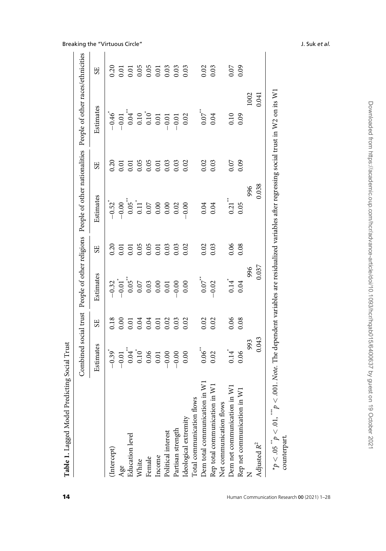| J<br>ŀ |  |
|--------|--|
| ۱      |  |
|        |  |
| ֕<br>J |  |
| í      |  |
| ֚<br>l |  |
|        |  |

| 1<br>ļ<br>l                                                                                                                                                                             |
|-----------------------------------------------------------------------------------------------------------------------------------------------------------------------------------------|
| l<br>ı<br>I<br>י<br>גרים<br>ש<br>ļ<br>4                                                                                                                                                 |
| ֧֖֧֧֧֧֧֧֧֧֧֧֧֧֧֧֧֧֧֧֧֧֛֚֚֚֚֚֚֚֚֚֚֚֚֚֚֚֚֚֝֓֝֓֝֓֝֓֝֬֝֬֝֬֝֓֝֬֝֬֝֬֝֬֝֬֝֬֝֬֝֬֝֬֝֬֝֬֝֬<br>֧֧֧֧֧֧֧֛֪֪֪֪֪֪֪֪֪֪֪֪֪֪֪֪֪֪֪֝֬֘֩֜<br>i<br>I<br> <br> <br> <br> <br> <br>$-200 - 10$<br>ı<br>ļ<br>ׅ֘֒ |
| $-1$<br>Combine<br>$\overline{\phantom{a}}$                                                                                                                                             |

 $\overline{1}$ 

|                                                       | Estimates           | <b>SE</b> | Estimates                                                                                       | <b>SE</b>                            | Estimates                                                                          | 5E                                     | Estimates                                                                                                   | SE <sub>1</sub>                             |
|-------------------------------------------------------|---------------------|-----------|-------------------------------------------------------------------------------------------------|--------------------------------------|------------------------------------------------------------------------------------|----------------------------------------|-------------------------------------------------------------------------------------------------------------|---------------------------------------------|
| (Intercept)                                           |                     |           |                                                                                                 |                                      | $-0.52$ <sup>*</sup>                                                               |                                        |                                                                                                             |                                             |
| Age                                                   |                     |           |                                                                                                 |                                      |                                                                                    |                                        |                                                                                                             |                                             |
| <b>Education</b> level                                |                     |           |                                                                                                 |                                      |                                                                                    |                                        |                                                                                                             |                                             |
| White                                                 |                     |           | $-0.32$<br>$-0.05$<br>$-0.05$<br>$-0.05$<br>$-0.05$<br>$-0.03$<br>$-0.03$<br>$-0.00$<br>$-0.00$ | 0.31<br>0.91<br>0.91<br>0.91<br>0.93 | $-0.00$<br>$0.05$ <sup>*</sup><br>$0.11$<br>$0.07$<br>$0.000$<br>$0.000$<br>$0.00$ | 0.30<br>0.01 0.05<br>0.00 0.03<br>0.00 | $-0.47$<br>$-0.07$<br>$-0.07$<br>$-0.07$<br>$-0.07$<br>$-0.07$<br>$-0.07$<br>$-0.07$<br>$-0.02$<br>$-0.02$  |                                             |
| Female                                                |                     |           |                                                                                                 |                                      |                                                                                    |                                        |                                                                                                             |                                             |
| Income                                                |                     |           |                                                                                                 |                                      |                                                                                    |                                        |                                                                                                             |                                             |
| Political interest                                    |                     |           |                                                                                                 |                                      |                                                                                    |                                        |                                                                                                             |                                             |
| Partisan strength                                     |                     |           |                                                                                                 | 0.03                                 |                                                                                    | 0.03                                   |                                                                                                             |                                             |
| Ideological extremity                                 |                     |           |                                                                                                 | 0.02                                 |                                                                                    | 0.02                                   |                                                                                                             |                                             |
| Total communication flows                             |                     |           |                                                                                                 |                                      |                                                                                    |                                        |                                                                                                             |                                             |
| Dem total communication in W1                         | $0.06^{*}$<br>0.02  |           | $0.07$ <sup>**</sup>                                                                            | 0.02                                 |                                                                                    | 0.02                                   | $0.07$ $\phantom{00}^{\ast\ast}$                                                                            |                                             |
| $\overline{\mathsf{x}}$<br>Rep total communication in |                     | 0.02      | $-0.02$                                                                                         | 0.03                                 | 0.04                                                                               | 0.03                                   | 0.04                                                                                                        | 0.03                                        |
| Net communication flows                               |                     |           |                                                                                                 |                                      |                                                                                    |                                        |                                                                                                             |                                             |
| $\frac{1}{N}$<br>Dem net communication in             | $0.14$ <sup>*</sup> |           | $0.14$ <sup>*</sup>                                                                             |                                      | $\begin{smallmatrix} 0.21 \ 0.05 \end{smallmatrix}$                                |                                        |                                                                                                             |                                             |
| Rep net communication in                              | 0.06                | 0.08      | 0.04                                                                                            | $0.06$<br>0.08                       |                                                                                    | $0.07$<br>0.09                         | $0.10$<br>0.09                                                                                              | $\begin{array}{c} 0.07 \\ 0.09 \end{array}$ |
|                                                       | 993                 |           |                                                                                                 |                                      | 996                                                                                |                                        | 1002                                                                                                        |                                             |
| Adjusted $R^2$                                        | 0.043               |           | 996<br>0.037                                                                                    |                                      | 0.038                                                                              |                                        | 0.041                                                                                                       |                                             |
| $*p < .05$ $p < .01$ , $p <$                          |                     |           |                                                                                                 |                                      |                                                                                    |                                        | 001. Note: The dependent variables are residualized variables after regressing social trust in W2 on its W1 |                                             |

<span id="page-13-0"></span>Breaking the "Virtuous Circle" and the "Virtuous Circle" and the U.S. Suk et al.

 $\overline{1}$ 

Downloaded from https://academic.oup.com/hcr/advance-article/doi/10.1093/hcr/hqab015/6400637 by guest on 19 October 2021 Downloaded from https://academic.oup.com/hcr/advance-article/doi/10.1093/hcr/hqab015/6400637 by guest on 19 October 2021

counterpart.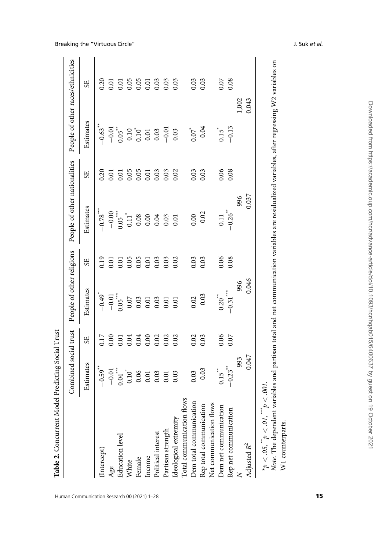| $-1$<br>$\frac{1}{2}$<br>l<br>$\sim$<br>١<br>ı<br>i |  |
|-----------------------------------------------------|--|
| t<br>ľ                                              |  |

<span id="page-14-0"></span>

|                                                    | Combined social trust                                               |                | People of other religions                                                      |                  | People of other nationalities                                                       |                                                          | People of other races/ethnicities                              |      |
|----------------------------------------------------|---------------------------------------------------------------------|----------------|--------------------------------------------------------------------------------|------------------|-------------------------------------------------------------------------------------|----------------------------------------------------------|----------------------------------------------------------------|------|
|                                                    | Estimates                                                           | SE <sub></sub> | Estimates                                                                      | 55               | Estimates                                                                           | 55                                                       | Estimates                                                      | 55   |
| Intercept)                                         | $-0.59$ <sup>**</sup>                                               | 0.17           | $-0.49$ <sup>*</sup>                                                           | 0.19             | $-0.78***$                                                                          |                                                          | $-0.63$ <sup>**</sup>                                          |      |
|                                                    |                                                                     |                |                                                                                | 0.01             |                                                                                     | 0.20                                                     |                                                                |      |
| Age<br>Education level                             | $-0.01$<br>$0.04$<br>$0.10$<br>$0.05$<br>$0.03$<br>$0.03$<br>$0.03$ |                | $-0.01$<br>$-0.05$<br>$0.05$<br>$0.03$<br>$0.01$<br>$0.03$<br>$0.01$<br>$0.01$ | 0.01             | $-0.05$<br>$-0.05$<br>$-1.1$<br>$-0.08$<br>$-0.03$<br>$-0.03$<br>$-0.03$<br>$-0.01$ |                                                          |                                                                |      |
| White                                              |                                                                     |                |                                                                                | 0.05             |                                                                                     |                                                          |                                                                |      |
| Female                                             |                                                                     |                |                                                                                |                  |                                                                                     | $0.05$<br>$0.05$<br>$0.01$<br>$0.03$<br>$0.03$<br>$0.03$ |                                                                |      |
| Income                                             |                                                                     |                |                                                                                | $0.05$<br>$0.01$ |                                                                                     |                                                          |                                                                |      |
| Political interest                                 |                                                                     |                |                                                                                | 0.03             |                                                                                     |                                                          |                                                                |      |
| Partisan strength                                  |                                                                     |                |                                                                                | 0.03             |                                                                                     |                                                          |                                                                |      |
| deological extremity                               |                                                                     |                |                                                                                | 0.02             |                                                                                     | 0.02                                                     | $-0.05$<br>$-0.05$<br>$-0.10$<br>$-0.03$<br>$-0.03$<br>$-0.03$ |      |
| Total communication flows                          |                                                                     |                |                                                                                |                  |                                                                                     |                                                          |                                                                |      |
| Dem total communication                            | 0.03                                                                | 0.02           | $\frac{0.02}{-0.03}$                                                           | 0.03             |                                                                                     | 0.03                                                     | $0.07^{*}$<br>-0.04                                            | 0.03 |
|                                                    | $-0.03$                                                             |                |                                                                                | 0.03             | $0.00 - 0.02$                                                                       | 0.03                                                     |                                                                | 0.03 |
| Rep total communication<br>Net communication flows |                                                                     |                |                                                                                |                  |                                                                                     |                                                          |                                                                |      |
| Dem net communication                              | $0.15$ <sup>**</sup>                                                |                | $0.20$ <sup>*</sup>                                                            | 0.06             |                                                                                     |                                                          | $\overline{5}1.0$                                              |      |
| Rep net communication                              | $-0.23$ <sup>**</sup>                                               | $0.06$<br>0.07 | $-0.31***$                                                                     | 0.08             | $0.11$<br>$-0.26$                                                                   | 0.06                                                     | $-0.13$                                                        | 0.07 |
|                                                    | 993                                                                 |                | 996                                                                            |                  |                                                                                     |                                                          | 1,002                                                          |      |
| Adjusted $R^2$                                     | 0.047                                                               |                | 0.046                                                                          |                  | 996<br>0.037                                                                        |                                                          | 0.043                                                          |      |
| * $p < .05,$ " $p < .01,$ " $p < .$                | .001.                                                               |                |                                                                                |                  |                                                                                     |                                                          |                                                                |      |

Note. The dependent variables and partisan total and net communication variables are residualized variables, after regressing W2 variables on

W1 counterparts.

W1 counterparts.

Human Communication Research 00 (2021) 1–28 15 16 16 16 16 16 16 17 16 17 16 17 16 17 16 17 16 17 16 17 16 17 1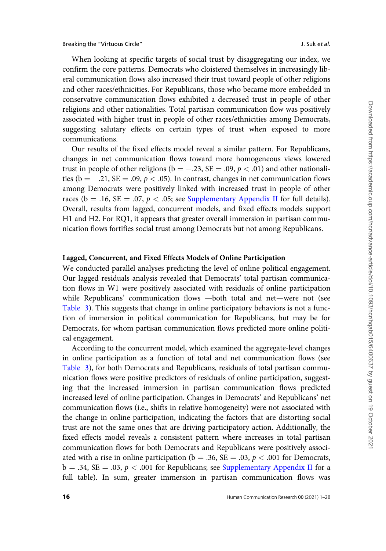When looking at specific targets of social trust by disaggregating our index, we confirm the core patterns. Democrats who cloistered themselves in increasingly liberal communication flows also increased their trust toward people of other religions and other races/ethnicities. For Republicans, those who became more embedded in conservative communication flows exhibited a decreased trust in people of other religions and other nationalities. Total partisan communication flow was positively associated with higher trust in people of other races/ethnicities among Democrats, suggesting salutary effects on certain types of trust when exposed to more communications.

Our results of the fixed effects model reveal a similar pattern. For Republicans, changes in net communication flows toward more homogeneous views lowered trust in people of other religions (b = -.23, SE = .09,  $p < .01$ ) and other nationalities ( $b = -.21$ , SE = .09,  $p < .05$ ). In contrast, changes in net communication flows among Democrats were positively linked with increased trust in people of other races ( $b = .16$ ,  $SE = .07$ ,  $p < .05$ ; see [Supplementary Appendix II](https://academic.oup.com/hcr/article-lookup/doi/10.1093/hcr/hqab015#supplementary-data) for full details). Overall, results from lagged, concurrent models, and fixed effects models support H1 and H2. For RQ1, it appears that greater overall immersion in partisan communication flows fortifies social trust among Democrats but not among Republicans.

#### Lagged, Concurrent, and Fixed Effects Models of Online Participation

We conducted parallel analyses predicting the level of online political engagement. Our lagged residuals analysis revealed that Democrats' total partisan communication flows in W1 were positively associated with residuals of online participation while Republicans' communication flows —both total and net—were not (see [Table 3\)](#page-16-0). This suggests that change in online participatory behaviors is not a function of immersion in political communication for Republicans, but may be for Democrats, for whom partisan communication flows predicted more online political engagement.

According to the concurrent model, which examined the aggregate-level changes in online participation as a function of total and net communication flows (see [Table 3](#page-16-0)), for both Democrats and Republicans, residuals of total partisan communication flows were positive predictors of residuals of online participation, suggesting that the increased immersion in partisan communication flows predicted increased level of online participation. Changes in Democrats' and Republicans' net communication flows (i.e., shifts in relative homogeneity) were not associated with the change in online participation, indicating the factors that are distorting social trust are not the same ones that are driving participatory action. Additionally, the fixed effects model reveals a consistent pattern where increases in total partisan communication flows for both Democrats and Republicans were positively associated with a rise in online participation ( $b = .36$ ,  $SE = .03$ ,  $p < .001$  for Democrats,  $b = .34$ , SE = .03,  $p < .001$  for Republicans; see [Supplementary Appendix II](https://academic.oup.com/hcr/article-lookup/doi/10.1093/hcr/hqab015#supplementary-data) for a full table). In sum, greater immersion in partisan communication flows was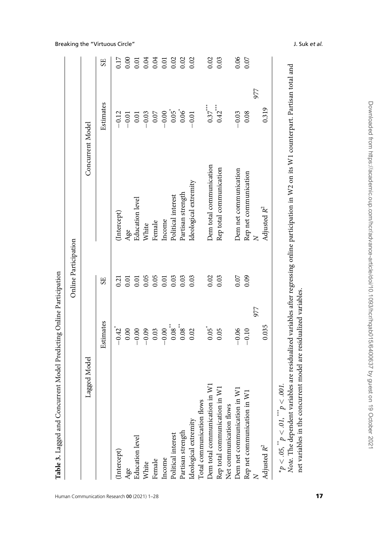| l                                                                              |
|--------------------------------------------------------------------------------|
|                                                                                |
| ١                                                                              |
|                                                                                |
| l                                                                              |
| ֧֧֧֧ׅ֧֧֧ׅ֧ׅ֧֧֧֧֧֧֧֛֪֧֛֪֧֛֚֚֚֚֚֚֚֚֚֚֚֚֚֚֚֚֚֚֚֚֚֚֚֚֚֚֚֚֚֬֝֝֝֜֝֝֜֜֝֬֜֝֜֝֜֜֝֝<br>i |
|                                                                                |
|                                                                                |
|                                                                                |

|                                                       |                                                                                                    | Online Participation |                         |                                                                           |                  |
|-------------------------------------------------------|----------------------------------------------------------------------------------------------------|----------------------|-------------------------|---------------------------------------------------------------------------|------------------|
| Lagged Model                                          |                                                                                                    |                      |                         | Concurrent Model                                                          |                  |
|                                                       | Estimates                                                                                          | <b>SE</b>            |                         | Estimates                                                                 | SE <sub></sub>   |
| (Intercept)                                           | $-0.42$ <sup>*</sup>                                                                               | 0.21                 | (Intercept)             | $-0.12$                                                                   | 0.17             |
| Age                                                   |                                                                                                    | 0.01                 | Age                     |                                                                           |                  |
| Education level                                       | $\begin{array}{c} 0.00 \\ -0.00 \\ -0.03 \\ 0.03 \\ 0.00 \\ 0.00 \\ 0.00 \\ 0.00 \\ \end{array} ;$ |                      | Education level         | $-0.01$<br>$-0.03$<br>$-0.05$<br>$-0.05$<br>$-0.05$<br>$-0.01$<br>$-0.01$ |                  |
| White                                                 |                                                                                                    | $0.05$<br>$0.05$     | White                   |                                                                           |                  |
| Female                                                |                                                                                                    |                      | Female                  |                                                                           |                  |
| Income                                                |                                                                                                    | 0.01                 | Income                  |                                                                           |                  |
| Political interest                                    |                                                                                                    | 0.03                 | Political interest      |                                                                           |                  |
| Partisan strength                                     |                                                                                                    | 0.03                 | Partisan strength       |                                                                           |                  |
| Ideological extremity                                 | 0.02                                                                                               | 0.03                 | Ideological extremity   |                                                                           |                  |
| Total communication flows                             |                                                                                                    |                      |                         |                                                                           |                  |
| Dem total communication in W1                         | $0.05$ <sup>*</sup>                                                                                | 0.02                 | Dem total communication | $0.37***$                                                                 | 0.02             |
| $\overline{\mathsf{x}}$<br>Rep total communication in | 0.05                                                                                               | 0.03                 | Rep total communication | $0.42$ <sup>***</sup>                                                     | 0.03             |
| Net communication flows                               |                                                                                                    |                      |                         |                                                                           |                  |
| $\overline{\mathsf{x}}$<br>Dem net communication in   | $-0.06$                                                                                            | 0.07                 | Dem net communication   | $-0.03$                                                                   |                  |
| $\overline{N}$<br>Rep net communication in \          | $-0.10$                                                                                            | 0.09                 | Rep net communication   | 0.08                                                                      | $0.06$<br>$0.07$ |
|                                                       | 977                                                                                                |                      |                         | 977                                                                       |                  |
| Adjusted $R^2$                                        | 0.035                                                                                              |                      | Adjusted $R^2$          | 0.319                                                                     |                  |
| $*_p$ < .05, $*_p$ < .01, $*_p$ < .001.               |                                                                                                    |                      |                         |                                                                           |                  |

 $< .05$ ,  $^4$  $< 01$  $^*_{\phantom *}$  $< .001$ 

Note. The dependent variables are residualized variables after regressing online participation in W2 on its W1 counterpart. Partisan total and net variables in the concurrent model are residualized variables. net variables in the concurrent model are residualized variables.

#### <span id="page-16-0"></span>Breaking the "Virtuous Circle" and the set of the set of the set of the set of the set of the set of the set of the set of the set of the set of the set of the set of the set of the set of the set of the set of the set of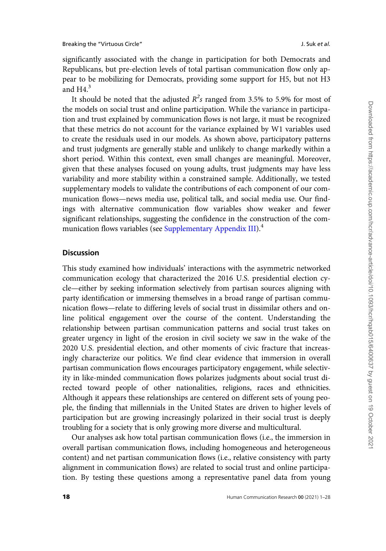significantly associated with the change in participation for both Democrats and Republicans, but pre-election levels of total partisan communication flow only appear to be mobilizing for Democrats, providing some support for H5, but not H3 and  $H4<sup>3</sup>$ 

It should be noted that the adjusted  $R^2s$  ranged from 3.5% to 5.9% for most of the models on social trust and online participation. While the variance in participation and trust explained by communication flows is not large, it must be recognized that these metrics do not account for the variance explained by W1 variables used to create the residuals used in our models. As shown above, participatory patterns and trust judgments are generally stable and unlikely to change markedly within a short period. Within this context, even small changes are meaningful. Moreover, given that these analyses focused on young adults, trust judgments may have less variability and more stability within a constrained sample. Additionally, we tested supplementary models to validate the contributions of each component of our communication flows—news media use, political talk, and social media use. Our findings with alternative communication flow variables show weaker and fewer significant relationships, suggesting the confidence in the construction of the com-munication flows variables (see [Supplementary Appendix III](https://academic.oup.com/hcr/article-lookup/doi/10.1093/hcr/hqab015#supplementary-data)).<sup>4</sup>

## **Discussion**

This study examined how individuals' interactions with the asymmetric networked communication ecology that characterized the 2016 U.S. presidential election cycle—either by seeking information selectively from partisan sources aligning with party identification or immersing themselves in a broad range of partisan communication flows—relate to differing levels of social trust in dissimilar others and online political engagement over the course of the content. Understanding the relationship between partisan communication patterns and social trust takes on greater urgency in light of the erosion in civil society we saw in the wake of the 2020 U.S. presidential election, and other moments of civic fracture that increasingly characterize our politics. We find clear evidence that immersion in overall partisan communication flows encourages participatory engagement, while selectivity in like-minded communication flows polarizes judgments about social trust directed toward people of other nationalities, religions, races and ethnicities. Although it appears these relationships are centered on different sets of young people, the finding that millennials in the United States are driven to higher levels of participation but are growing increasingly polarized in their social trust is deeply troubling for a society that is only growing more diverse and multicultural.

Our analyses ask how total partisan communication flows (i.e., the immersion in overall partisan communication flows, including homogeneous and heterogeneous content) and net partisan communication flows (i.e., relative consistency with party alignment in communication flows) are related to social trust and online participation. By testing these questions among a representative panel data from young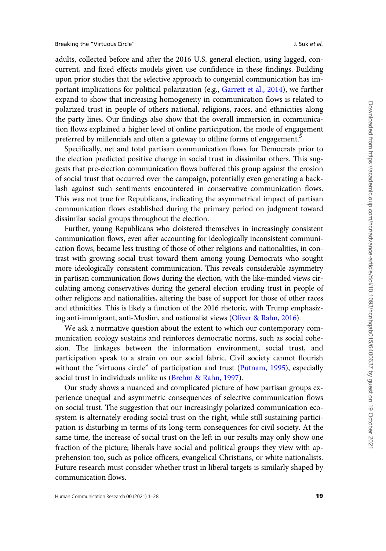adults, collected before and after the 2016 U.S. general election, using lagged, concurrent, and fixed effects models given use confidence in these findings. Building upon prior studies that the selective approach to congenial communication has important implications for political polarization (e.g., [Garrett et al., 2014\)](#page-24-0), we further expand to show that increasing homogeneity in communication flows is related to polarized trust in people of others national, religions, races, and ethnicities along the party lines. Our findings also show that the overall immersion in communication flows explained a higher level of online participation, the mode of engagement preferred by millennials and often a gateway to offline forms of engagement.<sup>5</sup>

Specifically, net and total partisan communication flows for Democrats prior to the election predicted positive change in social trust in dissimilar others. This suggests that pre-election communication flows buffered this group against the erosion of social trust that occurred over the campaign, potentially even generating a backlash against such sentiments encountered in conservative communication flows. This was not true for Republicans, indicating the asymmetrical impact of partisan communication flows established during the primary period on judgment toward dissimilar social groups throughout the election.

Further, young Republicans who cloistered themselves in increasingly consistent communication flows, even after accounting for ideologically inconsistent communication flows, became less trusting of those of other religions and nationalities, in contrast with growing social trust toward them among young Democrats who sought more ideologically consistent communication. This reveals considerable asymmetry in partisan communication flows during the election, with the like-minded views circulating among conservatives during the general election eroding trust in people of other religions and nationalities, altering the base of support for those of other races and ethnicities. This is likely a function of the 2016 rhetoric, with Trump emphasizing anti-immigrant, anti-Muslim, and nationalist views [\(Oliver](#page-25-0) & [Rahn, 2016\)](#page-25-0).

We ask a normative question about the extent to which our contemporary communication ecology sustains and reinforces democratic norms, such as social cohesion. The linkages between the information environment, social trust, and participation speak to a strain on our social fabric. Civil society cannot flourish without the "virtuous circle" of participation and trust ([Putnam, 1995](#page-26-0)), especially social trust in individuals unlike us [\(Brehm](#page-22-0) [& Rahn, 1997](#page-22-0)).

Our study shows a nuanced and complicated picture of how partisan groups experience unequal and asymmetric consequences of selective communication flows on social trust. The suggestion that our increasingly polarized communication ecosystem is alternately eroding social trust on the right, while still sustaining participation is disturbing in terms of its long-term consequences for civil society. At the same time, the increase of social trust on the left in our results may only show one fraction of the picture; liberals have social and political groups they view with apprehension too, such as police officers, evangelical Christians, or white nationalists. Future research must consider whether trust in liberal targets is similarly shaped by communication flows.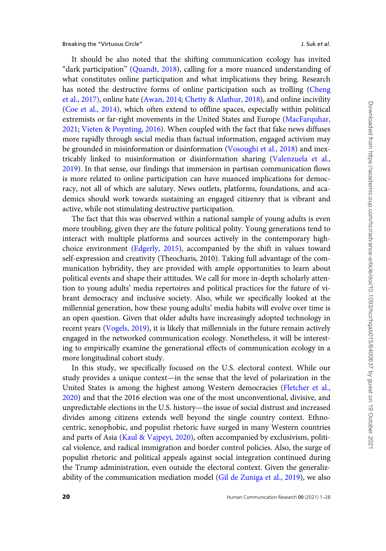It should be also noted that the shifting communication ecology has invited "dark participation" [\(Quandt, 2018](#page-26-0)), calling for a more nuanced understanding of what constitutes online participation and what implications they bring. Research has noted the destructive forms of online participation such as trolling ([Cheng](#page-23-0) [et al., 2017\),](#page-23-0) online hate ([Awan, 2014](#page-22-0); [Chetty & Alathur, 2018](#page-23-0)), and online incivility [\(Coe et al., 2014\)](#page-23-0), which often extend to offline spaces, especially within political extremists or far-right movements in the United States and Europe [\(MacFarquhar,](#page-25-0) [2021;](#page-25-0) [Vieten](#page-27-0) & [Poynting, 2016](#page-27-0)). When coupled with the fact that fake news diffuses more rapidly through social media than factual information, engaged activism may be grounded in misinformation or disinformation ([Vosoughi et al., 2018\)](#page-27-0) and inextricably linked to misinformation or disinformation sharing [\(Valenzuela et al.,](#page-27-0) [2019\)](#page-27-0). In that sense, our findings that immersion in partisan communication flows is more related to online participation can have nuanced implications for democracy, not all of which are salutary. News outlets, platforms, foundations, and academics should work towards sustaining an engaged citizenry that is vibrant and active, while not stimulating destructive participation.

The fact that this was observed within a national sample of young adults is even more troubling, given they are the future political polity. Young generations tend to interact with multiple platforms and sources actively in the contemporary highchoice environment [\(Edgerly, 2015\)](#page-23-0), accompanied by the shift in values toward self-expression and creativity (Theocharis, 2010). Taking full advantage of the communication hybridity, they are provided with ample opportunities to learn about political events and shape their attitudes. We call for more in-depth scholarly attention to young adults' media repertoires and political practices for the future of vibrant democracy and inclusive society. Also, while we specifically looked at the millennial generation, how these young adults' media habits will evolve over time is an open question. Given that older adults have increasingly adopted technology in recent years [\(Vogels, 2019\)](#page-26-0), it is likely that millennials in the future remain actively engaged in the networked communication ecology. Nonetheless, it will be interesting to empirically examine the generational effects of communication ecology in a more longitudinal cohort study.

In this study, we specifically focused on the U.S. electoral context. While our study provides a unique context—in the sense that the level of polarization in the United States is among the highest among Western democracies ([Fletcher et al.,](#page-24-0) [2020\)](#page-24-0) and that the 2016 election was one of the most unconventional, divisive, and unpredictable elections in the U.S. history—the issue of social distrust and increased divides among citizens extends well beyond the single country context. Ethnocentric, xenophobic, and populist rhetoric have surged in many Western countries and parts of Asia ([Kaul](#page-24-0) & [Vajpeyi, 2020](#page-24-0)), often accompanied by exclusivism, political violence, and radical immigration and border control policies. Also, the surge of populist rhetoric and political appeals against social integration continued during the Trump administration, even outside the electoral context. Given the generalizability of the communication mediation model ([Gil de Zuniga et al., 2019\)](#page-24-0), we also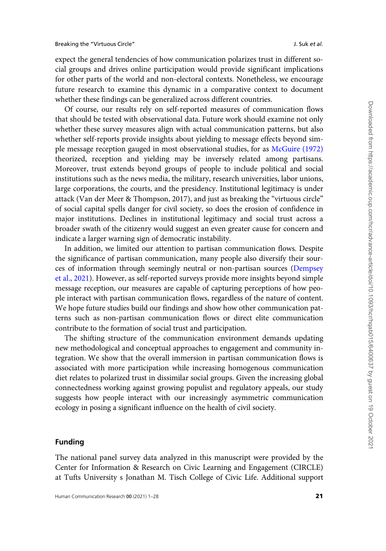expect the general tendencies of how communication polarizes trust in different social groups and drives online participation would provide significant implications for other parts of the world and non-electoral contexts. Nonetheless, we encourage future research to examine this dynamic in a comparative context to document whether these findings can be generalized across different countries.

Of course, our results rely on self-reported measures of communication flows that should be tested with observational data. Future work should examine not only whether these survey measures align with actual communication patterns, but also whether self-reports provide insights about yielding to message effects beyond simple message reception gauged in most observational studies, for as [McGuire \(1972\)](#page-25-0) theorized, reception and yielding may be inversely related among partisans. Moreover, trust extends beyond groups of people to include political and social institutions such as the news media, the military, research universities, labor unions, large corporations, the courts, and the presidency. Institutional legitimacy is under attack (Van der Meer & Thompson, 2017), and just as breaking the "virtuous circle" of social capital spells danger for civil society, so does the erosion of confidence in major institutions. Declines in institutional legitimacy and social trust across a broader swath of the citizenry would suggest an even greater cause for concern and indicate a larger warning sign of democratic instability.

In addition, we limited our attention to partisan communication flows. Despite the significance of partisan communication, many people also diversify their sources of information through seemingly neutral or non-partisan sources ([Dempsey](#page-23-0) [et al., 2021\)](#page-23-0). However, as self-reported surveys provide more insights beyond simple message reception, our measures are capable of capturing perceptions of how people interact with partisan communication flows, regardless of the nature of content. We hope future studies build our findings and show how other communication patterns such as non-partisan communication flows or direct elite communication contribute to the formation of social trust and participation.

The shifting structure of the communication environment demands updating new methodological and conceptual approaches to engagement and community integration. We show that the overall immersion in partisan communication flows is associated with more participation while increasing homogenous communication diet relates to polarized trust in dissimilar social groups. Given the increasing global connectedness working against growing populist and regulatory appeals, our study suggests how people interact with our increasingly asymmetric communication ecology in posing a significant influence on the health of civil society.

#### Funding

The national panel survey data analyzed in this manuscript were provided by the Center for Information & Research on Civic Learning and Engagement (CIRCLE) at Tufts University s Jonathan M. Tisch College of Civic Life. Additional support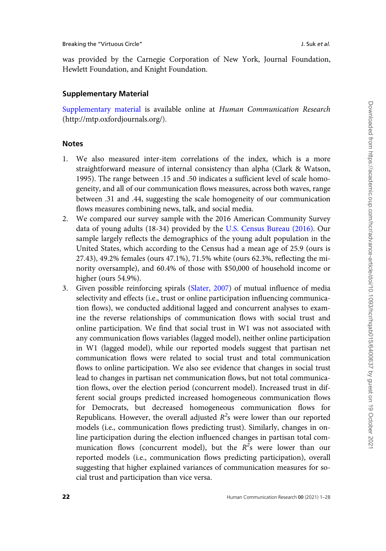was provided by the Carnegie Corporation of New York, Journal Foundation, Hewlett Foundation, and Knight Foundation.

## Supplementary Material

[Supplementary material](https://academic.oup.com/hcr/article-lookup/doi/10.1093/hcr/hqab015#supplementary-data) is available online at Human Communication Research [\(http://mtp.oxfordjournals.org/](http://mtp.oxfordjournals.org/)).

## Notes

- 1. We also measured inter-item correlations of the index, which is a more straightforward measure of internal consistency than alpha (Clark & Watson, 1995). The range between .15 and .50 indicates a sufficient level of scale homogeneity, and all of our communication flows measures, across both waves, range between .31 and .44, suggesting the scale homogeneity of our communication flows measures combining news, talk, and social media.
- 2. We compared our survey sample with the 2016 American Community Survey data of young adults (18-34) provided by the [U.S. Census Bureau \(2016\).](#page-26-0) Our sample largely reflects the demographics of the young adult population in the United States, which according to the Census had a mean age of 25.9 (ours is 27.43), 49.2% females (ours 47.1%), 71.5% white (ours 62.3%, reflecting the minority oversample), and 60.4% of those with \$50,000 of household income or higher (ours 54.9%).
- 3. Given possible reinforcing spirals ([Slater, 2007](#page-26-0)) of mutual influence of media selectivity and effects (i.e., trust or online participation influencing communication flows), we conducted additional lagged and concurrent analyses to examine the reverse relationships of communication flows with social trust and online participation. We find that social trust in W1 was not associated with any communication flows variables (lagged model), neither online participation in W1 (lagged model), while our reported models suggest that partisan net communication flows were related to social trust and total communication flows to online participation. We also see evidence that changes in social trust lead to changes in partisan net communication flows, but not total communication flows, over the election period (concurrent model). Increased trust in different social groups predicted increased homogeneous communication flows for Democrats, but decreased homogeneous communication flows for Republicans. However, the overall adjusted  $R^2$ s were lower than our reported models (i.e., communication flows predicting trust). Similarly, changes in online participation during the election influenced changes in partisan total communication flows (concurrent model), but the  $R^2$ s were lower than our reported models (i.e., communication flows predicting participation), overall suggesting that higher explained variances of communication measures for social trust and participation than vice versa.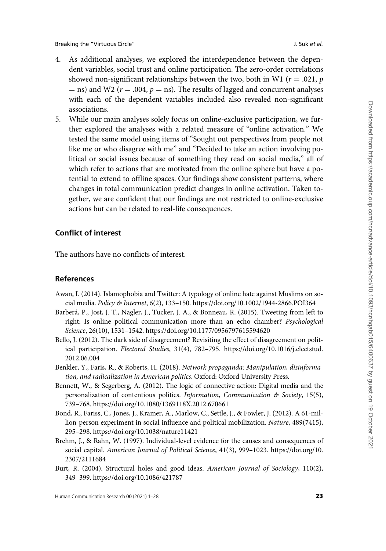- <span id="page-22-0"></span>4. As additional analyses, we explored the interdependence between the dependent variables, social trust and online participation. The zero-order correlations showed non-significant relationships between the two, both in W1 ( $r = .021$ , p  $=$  ns) and W2 ( $r = .004$ ,  $p =$  ns). The results of lagged and concurrent analyses with each of the dependent variables included also revealed non-significant associations.
- 5. While our main analyses solely focus on online-exclusive participation, we further explored the analyses with a related measure of "online activation." We tested the same model using items of "Sought out perspectives from people not like me or who disagree with me" and "Decided to take an action involving political or social issues because of something they read on social media," all of which refer to actions that are motivated from the online sphere but have a potential to extend to offline spaces. Our findings show consistent patterns, where changes in total communication predict changes in online activation. Taken together, we are confident that our findings are not restricted to online-exclusive actions but can be related to real-life consequences.

## Conflict of interest

The authors have no conflicts of interest.

## **References**

- Awan, I. (2014). Islamophobia and Twitter: A typology of online hate against Muslims on social media. Policy & Internet, 6(2), 133–150.<https://doi.org/10.1002/1944-2866.POI364>
- Barberá, P., Jost, J. T., Nagler, J., Tucker, J. A., & Bonneau, R. (2015). Tweeting from left to right: Is online political communication more than an echo chamber? Psychological Science, 26(10), 1531–1542.<https://doi.org/10.1177/0956797615594620>
- Bello, J. (2012). The dark side of disagreement? Revisiting the effect of disagreement on political participation. Electoral Studies, 31(4), 782–795. [https://doi.org/10.1016/j.electstud.](https://doi.org/10.1016/j.electstud.2012.06.004) [2012.06.004](https://doi.org/10.1016/j.electstud.2012.06.004)
- Benkler, Y., Faris, R., & Roberts, H. (2018). Network propaganda: Manipulation, disinformation, and radicalization in American politics. Oxford: Oxford University Press.
- Bennett, W., & Segerberg, A. (2012). The logic of connective action: Digital media and the personalization of contentious politics. Information, Communication  $\mathcal C$  Society, 15(5), 739–768.<https://doi.org/10.1080/1369118X.2012.670661>
- Bond, R., Fariss, C., Jones, J., Kramer, A., Marlow, C., Settle, J., & Fowler, J. (2012). A 61-million-person experiment in social influence and political mobilization. Nature, 489(7415), 295–298.<https://doi.org/10.1038/nature11421>
- Brehm, J., & Rahn, W. (1997). Individual-level evidence for the causes and consequences of social capital. American Journal of Political Science, 41(3), 999–1023. [https://doi.org/10.](https://doi.org/10.2307/2111684) [2307/2111684](https://doi.org/10.2307/2111684)
- Burt, R. (2004). Structural holes and good ideas. American Journal of Sociology, 110(2), 349–399.<https://doi.org/10.1086/421787>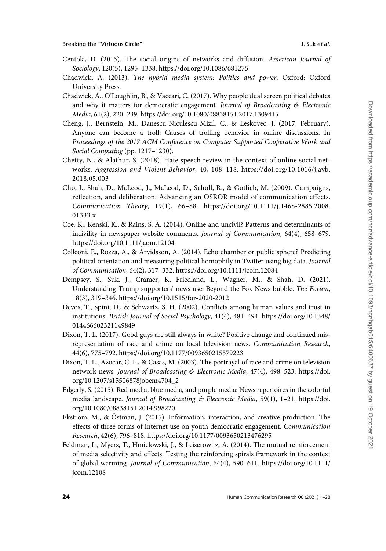- <span id="page-23-0"></span>Centola, D. (2015). The social origins of networks and diffusion. American Journal of Sociology, 120(5), 1295–1338.<https://doi.org/10.1086/681275>
- Chadwick, A. (2013). The hybrid media system: Politics and power. Oxford: Oxford University Press.
- Chadwick, A., O'Loughlin, B., & Vaccari, C. (2017). Why people dual screen political debates and why it matters for democratic engagement. Journal of Broadcasting & Electronic Media, 61(2), 220–239.<https://doi.org/10.1080/08838151.2017.1309415>
- Cheng, J., Bernstein, M., Danescu-Niculescu-Mizil, C., & Leskovec, J. (2017, February). Anyone can become a troll: Causes of trolling behavior in online discussions. In Proceedings of the 2017 ACM Conference on Computer Supported Cooperative Work and Social Computing (pp. 1217–1230).
- Chetty, N., & Alathur, S. (2018). Hate speech review in the context of online social networks. Aggression and Violent Behavior, 40, 108–118. [https://doi.org/10.1016/j.avb.](https://doi.org/10.1016/j.avb.2018.05.003) [2018.05.003](https://doi.org/10.1016/j.avb.2018.05.003)
- Cho, J., Shah, D., McLeod, J., McLeod, D., Scholl, R., & Gotlieb, M. (2009). Campaigns, reflection, and deliberation: Advancing an OSROR model of communication effects. Communication Theory, 19(1), 66–88. [https://doi.org/10.1111/j.1468-2885.2008.](https://doi.org/10.1111/j.1468-2885.2008.01333.x) [01333.x](https://doi.org/10.1111/j.1468-2885.2008.01333.x)
- Coe, K., Kenski, K., & Rains, S. A. (2014). Online and uncivil? Patterns and determinants of incivility in newspaper website comments. Journal of Communication, 64(4), 658–679. <https://doi.org/10.1111/jcom.12104>
- Colleoni, E., Rozza, A., & Arvidsson, A. (2014). Echo chamber or public sphere? Predicting political orientation and measuring political homophily in Twitter using big data. Journal of Communication, 64(2), 317–332.<https://doi.org/10.1111/jcom.12084>
- Dempsey, S., Suk, J., Cramer, K, Friedland, L., Wagner, M., & Shah, D. (2021). Understanding Trump supporters' news use: Beyond the Fox News bubble. The Forum, 18(3), 319–346.<https://doi.org/10.1515/for-2020-2012>
- Devos, T., Spini, D., & Schwartz, S. H. (2002). Conflicts among human values and trust in institutions. British Journal of Social Psychology, 41(4), 481–494. [https://doi.org/10.1348/](https://doi.org/10.1348/014466602321149849) [014466602321149849](https://doi.org/10.1348/014466602321149849)
- Dixon, T. L. (2017). Good guys are still always in white? Positive change and continued misrepresentation of race and crime on local television news. Communication Research, 44(6), 775–792.<https://doi.org/10.1177/0093650215579223>
- Dixon, T. L., Azocar, C. L., & Casas, M. (2003). The portrayal of race and crime on television network news. Journal of Broadcasting & Electronic Media, 47(4), 498-523. [https://doi.](https://doi.org/10.1207/s15506878jobem4704_2) [org/10.1207/s15506878jobem4704\\_2](https://doi.org/10.1207/s15506878jobem4704_2)
- Edgerly, S. (2015). Red media, blue media, and purple media: News repertoires in the colorful media landscape. Journal of Broadcasting & Electronic Media, 59(1), 1-21. [https://doi.](https://doi.org/10.1080/08838151.2014.998220) [org/10.1080/08838151.2014.998220](https://doi.org/10.1080/08838151.2014.998220)
- Ekström, M., & Östman, J. (2015). Information, interaction, and creative production: The effects of three forms of internet use on youth democratic engagement. Communication Research, 42(6), 796–818.<https://doi.org/10.1177/0093650213476295>
- Feldman, L., Myers, T., Hmielowski, J., & Leiserowitz, A. (2014). The mutual reinforcement of media selectivity and effects: Testing the reinforcing spirals framework in the context of global warming. Journal of Communication, 64(4), 590–611. [https://doi.org/10.1111/](https://doi.org/10.1111/jcom.12108) [jcom.12108](https://doi.org/10.1111/jcom.12108)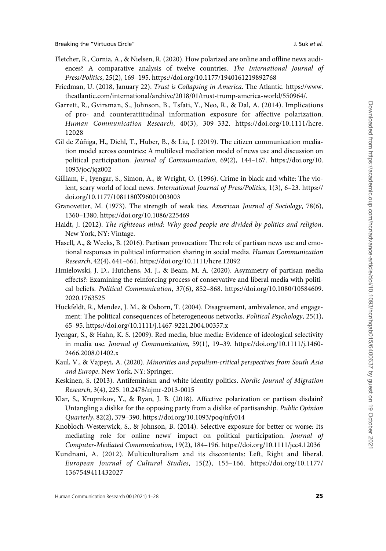- <span id="page-24-0"></span>Fletcher, R., Cornia, A., & Nielsen, R. (2020). How polarized are online and offline news audiences? A comparative analysis of twelve countries. The International Journal of Press/Politics, 25(2), 169–195.<https://doi.org/10.1177/1940161219892768>
- Friedman, U. (2018, January 22). Trust is Collapsing in America. The Atlantic. [https://www.](https://www.theatlantic.com/international/archive/2018/01/trust-trump-america-world/550964/) [theatlantic.com/international/archive/2018/01/trust-trump-america-world/550964/](https://www.theatlantic.com/international/archive/2018/01/trust-trump-america-world/550964/).
- Garrett, R., Gvirsman, S., Johnson, B., Tsfati, Y., Neo, R., & Dal, A. (2014). Implications of pro- and counterattitudinal information exposure for affective polarization. Human Communication Research, 40(3), 309–332. [https://doi.org/10.1111/hcre.](https://doi.org/10.1111/hcre.12028) [12028](https://doi.org/10.1111/hcre.12028)
- Gil de Zúñiga, H., Diehl, T., Huber, B., & Liu, J. (2019). The citizen communication mediation model across countries: A multilevel mediation model of news use and discussion on political participation. Journal of Communication, 69(2), 144–167. [https://doi.org/10.](https://doi.org/10.1093/joc/jqz002) [1093/joc/jqz002](https://doi.org/10.1093/joc/jqz002)
- Gilliam, F., Iyengar, S., Simon, A., & Wright, O. (1996). Crime in black and white: The violent, scary world of local news. International Journal of Press/Politics, 1(3), 6–23. [https://](https://doi.org/10.1177/1081180X96001003003) [doi.org/10.1177/1081180X96001003003](https://doi.org/10.1177/1081180X96001003003)
- Granovetter, M. (1973). The strength of weak ties. American Journal of Sociology, 78(6), 1360–1380.<https://doi.org/10.1086/225469>
- Haidt, J. (2012). The righteous mind: Why good people are divided by politics and religion. New York, NY: Vintage.
- Hasell, A., & Weeks, B. (2016). Partisan provocation: The role of partisan news use and emotional responses in political information sharing in social media. Human Communication Research, 42(4), 641–661.<https://doi.org/10.1111/hcre.12092>
- Hmielowski, J. D., Hutchens, M. J., & Beam, M. A. (2020). Asymmetry of partisan media effects?: Examining the reinforcing process of conservative and liberal media with political beliefs. Political Communication, 37(6), 852–868. [https://doi.org/10.1080/10584609.](https://doi.org/10.1080/10584609.2020.1763525) [2020.1763525](https://doi.org/10.1080/10584609.2020.1763525)
- Huckfeldt, R., Mendez, J. M., & Osborn, T. (2004). Disagreement, ambivalence, and engagement: The political consequences of heterogeneous networks. Political Psychology, 25(1), 65–95.<https://doi.org/10.1111/j.1467-9221.2004.00357.x>
- Iyengar, S., & Hahn, K. S. (2009). Red media, blue media: Evidence of ideological selectivity in media use. Journal of Communication, 59(1), 19–39. [https://doi.org/10.1111/j.1460-](https://doi.org/10.1111/j.1460-2466.2008.01402.x) [2466.2008.01402.x](https://doi.org/10.1111/j.1460-2466.2008.01402.x)
- Kaul, V., & Vajpeyi, A. (2020). Minorities and populism-critical perspectives from South Asia and Europe. New York, NY: Springer.
- Keskinen, S. (2013). Antifeminism and white identity politics. Nordic Journal of Migration Research, 3(4), 225. 10.2478/njmr-2013-0015
- Klar, S., Krupnikov, Y., & Ryan, J. B. (2018). Affective polarization or partisan disdain? Untangling a dislike for the opposing party from a dislike of partisanship. Public Opinion Quarterly, 82(2), 379–390.<https://doi.org/10.1093/poq/nfy014>
- Knobloch-Westerwick, S., & Johnson, B. (2014). Selective exposure for better or worse: Its mediating role for online news' impact on political participation. Journal of Computer-Mediated Communication, 19(2), 184–196.<https://doi.org/10.1111/jcc4.12036>
- Kundnani, A. (2012). Multiculturalism and its discontents: Left, Right and liberal. European Journal of Cultural Studies, 15(2), 155–166. [https://doi.org/10.1177/](https://doi.org/10.1177/1367549411432027) [1367549411432027](https://doi.org/10.1177/1367549411432027)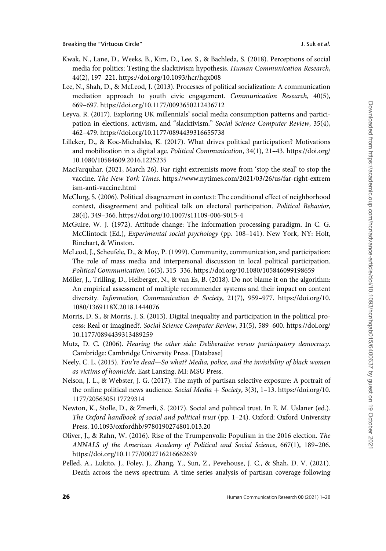- <span id="page-25-0"></span>Kwak, N., Lane, D., Weeks, B., Kim, D., Lee, S., & Bachleda, S. (2018). Perceptions of social media for politics: Testing the slacktivism hypothesis. Human Communication Research, 44(2), 197–221.<https://doi.org/10.1093/hcr/hqx008>
- Lee, N., Shah, D., & McLeod, J. (2013). Processes of political socialization: A communication mediation approach to youth civic engagement. Communication Research, 40(5), 669–697.<https://doi.org/10.1177/0093650212436712>
- Leyva, R. (2017). Exploring UK millennials' social media consumption patterns and participation in elections, activism, and "slacktivism." Social Science Computer Review, 35(4), 462–479.<https://doi.org/10.1177/0894439316655738>
- Lilleker, D., & Koc-Michalska, K. (2017). What drives political participation? Motivations and mobilization in a digital age. Political Communication, 34(1), 21–43. [https://doi.org/](https://doi.org/10.1080/10584609.2016.1225235) [10.1080/10584609.2016.1225235](https://doi.org/10.1080/10584609.2016.1225235)
- MacFarquhar. (2021, March 26). Far-right extremists move from 'stop the steal' to stop the vaccine. The New York Times. [https://www.nytimes.com/2021/03/26/us/far-right-extrem](https://www.nytimes.com/2021/03/26/us/far-right-extremism-anti-vaccine.html) [ism-anti-vaccine.html](https://www.nytimes.com/2021/03/26/us/far-right-extremism-anti-vaccine.html)
- McClurg, S. (2006). Political disagreement in context: The conditional effect of neighborhood context, disagreement and political talk on electoral participation. Political Behavior, 28(4), 349–366.<https://doi.org/10.1007/s11109-006-9015-4>
- McGuire, W. J. (1972). Attitude change: The information processing paradigm. In C. G. McClintock (Ed.), Experimental social psychology (pp. 108–141). New York, NY: Holt, Rinehart, & Winston.
- McLeod, J., Scheufele, D., & Moy, P. (1999). Community, communication, and participation: The role of mass media and interpersonal discussion in local political participation. Political Communication, 16(3), 315–336.<https://doi.org/10.1080/105846099198659>
- Möller, J., Trilling, D., Helberger, N., & van Es, B. (2018). Do not blame it on the algorithm: An empirical assessment of multiple recommender systems and their impact on content diversity. Information, Communication & Society, 21(7), 959-977. [https://doi.org/10.](https://doi.org/10.1080/1369118X.2018.1444076) [1080/1369118X.2018.1444076](https://doi.org/10.1080/1369118X.2018.1444076)
- Morris, D. S., & Morris, J. S. (2013). Digital inequality and participation in the political process: Real or imagined?. Social Science Computer Review, 31(5), 589–600. [https://doi.org/](https://doi.org/10.1177/0894439313489259) [10.1177/0894439313489259](https://doi.org/10.1177/0894439313489259)
- Mutz, D. C. (2006). Hearing the other side: Deliberative versus participatory democracy. Cambridge: Cambridge University Press. [Database]
- Neely, C. L. (2015). You're dead—So what? Media, police, and the invisibility of black women as victims of homicide. East Lansing, MI: MSU Press.
- Nelson, J. L., & Webster, J. G. (2017). The myth of partisan selective exposure: A portrait of the online political news audience. Social Media + Society, 3(3), 1-13. [https://doi.org/10.](https://doi.org/10.1177/2056305117729314) [1177/2056305117729314](https://doi.org/10.1177/2056305117729314)
- Newton, K., Stolle, D., & Zmerli, S. (2017). Social and political trust. In E. M. Uslaner (ed.). The Oxford handbook of social and political trust (pp. 1–24). Oxford: Oxford University Press. 10.1093/oxfordhb/9780190274801.013.20
- Oliver, J., & Rahn, W. (2016). Rise of the Trumpenvolk: Populism in the 2016 election. The ANNALS of the American Academy of Political and Social Science, 667(1), 189–206. <https://doi.org/10.1177/0002716216662639>
- Pelled, A., Lukito, J., Foley, J., Zhang, Y., Sun, Z., Pevehouse, J. C., & Shah, D. V. (2021). Death across the news spectrum: A time series analysis of partisan coverage following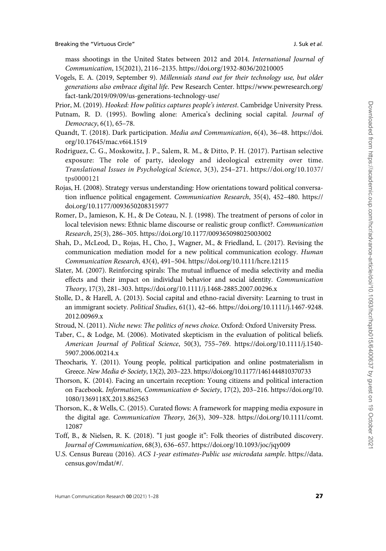<span id="page-26-0"></span>mass shootings in the United States between 2012 and 2014. International Journal of Communication, 15(2021), 2116–2135.<https://doi.org/1932-8036/20210005>

Vogels, E. A. (2019, September 9). Millennials stand out for their technology use, but older generations also embrace digital life. Pew Research Center. [https://www.pewresearch.org/](https://www.pewresearch.org/fact-tank/2019/09/09/us-generations-technology-use/) [fact-tank/2019/09/09/us-generations-technology-use/](https://www.pewresearch.org/fact-tank/2019/09/09/us-generations-technology-use/)

Prior, M. (2019). Hooked: How politics captures people's interest. Cambridge University Press.

- Putnam, R. D. (1995). Bowling alone: America's declining social capital. Journal of Democracy, 6(1), 65–78.
- Quandt, T. (2018). Dark participation. Media and Communication, 6(4), 36–48. [https://doi.](https://doi.org/10.17645/mac.v6i4.1519) [org/10.17645/mac.v6i4.1519](https://doi.org/10.17645/mac.v6i4.1519)
- Rodriguez, C. G., Moskowitz, J. P., Salem, R. M., & Ditto, P. H. (2017). Partisan selective exposure: The role of party, ideology and ideological extremity over time. Translational Issues in Psychological Science, 3(3), 254–271.<https://doi.org/10.1>037/ tps0000121
- Rojas, H. (2008). Strategy versus understanding: How orientations toward political conversation influence political engagement. Communication Research, 35(4), 452–480. [https://](https://doi.org/10.1177/0093650208315977) [doi.org/10.1177/0093650208315977](https://doi.org/10.1177/0093650208315977)
- Romer, D., Jamieson, K. H., & De Coteau, N. J. (1998). The treatment of persons of color in local television news: Ethnic blame discourse or realistic group conflict?. Communication Research, 25(3), 286–305.<https://doi.org/10.1177/009365098025003002>
- Shah, D., McLeod, D., Rojas, H., Cho, J., Wagner, M., & Friedland, L. (2017). Revising the communication mediation model for a new political communication ecology. Human Communication Research, 43(4), 491–504.<https://doi.org/10.1111/hcre.12115>
- Slater, M. (2007). Reinforcing spirals: The mutual influence of media selectivity and media effects and their impact on individual behavior and social identity. Communication Theory, 17(3), 281–303.<https://doi.org/10.1111/j.1468-2885.2007.00296.x>
- Stolle, D., & Harell, A. (2013). Social capital and ethno-racial diversity: Learning to trust in an immigrant society. Political Studies, 61(1), 42–66. [https://doi.org/10.1111/j.1467-9248.](https://doi.org/10.1111/j.1467-9248.2012.00969.x) [2012.00969.x](https://doi.org/10.1111/j.1467-9248.2012.00969.x)
- Stroud, N. (2011). Niche news: The politics of news choice. Oxford: Oxford University Press.
- Taber, C., & Lodge, M. (2006). Motivated skepticism in the evaluation of political beliefs. American Journal of Political Science, 50(3), 755–769. [https://doi.org/10.1111/j.1540-](https://doi.org/10.1111/j.1540-5907.2006.00214.x) [5907.2006.00214.x](https://doi.org/10.1111/j.1540-5907.2006.00214.x)
- Theocharis, Y. (2011). Young people, political participation and online postmaterialism in Greece. New Media & Society, 13(2), 203-223.<https://doi.org/10.1177/1461444810370733>
- Thorson, K. (2014). Facing an uncertain reception: Young citizens and political interaction on Facebook. Information, Communication & Society, 17(2), 203-216. [https://doi.org/10.](https://doi.org/10.1080/1369118X.2013.862563) [1080/1369118X.2013.862563](https://doi.org/10.1080/1369118X.2013.862563)
- Thorson, K., & Wells, C. (2015). Curated flows: A framework for mapping media exposure in the digital age. Communication Theory, 26(3), 309–328. [https://doi.org/10.1111/comt.](https://doi.org/10.1111/comt.12087) [12087](https://doi.org/10.1111/comt.12087)
- Toff, B., & Nielsen, R. K. (2018). "I just google it": Folk theories of distributed discovery. Journal of Communication, 68(3), 636–657.<https://doi.org/10.1093/joc/jqy009>
- U.S. Census Bureau (2016). ACS 1-year estimates-Public use microdata sample. [https://data.](https://data.census.gov/mdat/#/) [census.gov/mdat/#/](https://data.census.gov/mdat/#/).